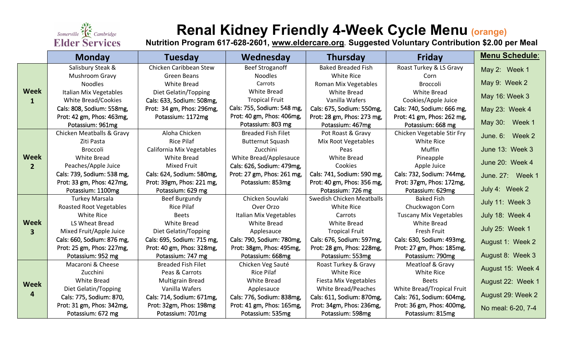

# **Renal Kidney Friendly 4-Week Cycle Menu (orange)**

**Nutrition Program 617-628-2601, [www.eldercare.org](http://www.eldercare.org/). Suggested Voluntary Contribution \$2.00 per Meal**

|                               | <b>Monday</b>                  | <b>Tuesday</b>             | Wednesday                  | Thursday                    | <b>Friday</b>                 | Menu Schedule:                      |
|-------------------------------|--------------------------------|----------------------------|----------------------------|-----------------------------|-------------------------------|-------------------------------------|
| <b>Week</b><br>1              | Salisbury Steak &              | Chicken Caribbean Stew     | <b>Beef Stroganoff</b>     | <b>Baked Breaded Fish</b>   | Roast Turkey & LS Gravy       | May 2: Week 1                       |
|                               | Mushroom Gravy                 | Green Beans                | <b>Noodles</b>             | <b>White Rice</b>           | Corn                          |                                     |
|                               | <b>Noodles</b>                 | <b>White Bread</b>         | Carrots                    | <b>Roman Mix Vegetables</b> | <b>Broccoli</b>               | May 9: Week 2                       |
|                               | <b>Italian Mix Vegetables</b>  | Diet Gelatin/Topping       | White Bread                | <b>White Bread</b>          | <b>White Bread</b>            | May 16: Week 3                      |
|                               | White Bread/Cookies            | Cals: 633, Sodium: 508mg,  | <b>Tropical Fruit</b>      | Vanilla Wafers              | Cookies/Apple Juice           |                                     |
|                               | Cals: 808, Sodium: 558mg,      | Prot: 34 gm, Phos: 296mg,  | Cals: 755, Sodium: 548 mg, | Cals: 675, Sodium: 550mg,   | Cals: 740, Sodium: 666 mg,    | May 23: Week 4                      |
|                               | Prot: 42 gm, Phos: 463mg,      | Potassium: 1172mg          | Prot: 40 gm, Phos: 406mg,  | Prot: 28 gm, Phos: 273 mg,  | Prot: 41 gm, Phos: 262 mg,    |                                     |
|                               | Potassium: 961mg               |                            | Potassium: 803 mg          | Potassium: 467mg            | Potassium: 668 mg             | May 30: Week 1                      |
| <b>Week</b><br>$\overline{2}$ | Chicken Meatballs & Gravy      | Aloha Chicken              | <b>Breaded Fish Filet</b>  | Pot Roast & Gravy           | Chicken Vegetable Stir Fry    | June. $6:$<br>Week 2                |
|                               | Ziti Pasta                     | <b>Rice Pilaf</b>          | <b>Butternut Squash</b>    | Mix Root Vegetables         | <b>White Rice</b>             |                                     |
|                               | <b>Broccoli</b>                | California Mix Vegetables  | Zucchini                   | Peas                        | Muffin                        | June 13: Week 3                     |
|                               | White Bread                    | <b>White Bread</b>         | White Bread/Applesauce     | <b>White Bread</b>          | Pineapple                     | June 20: Week 4<br>June. 27: Week 1 |
|                               | Peaches/Apple Juice            | <b>Mixed Fruit</b>         | Cals: 626, Sodium: 479mg,  | Cookies                     | Apple Juice                   |                                     |
|                               | Cals: 739, Sodium: 538 mg,     | Cals: 624, Sodium: 580mg,  | Prot: 27 gm, Phos: 261 mg, | Cals: 741, Sodium: 590 mg,  | Cals: 732, Sodium: 744mg,     |                                     |
|                               | Prot: 33 gm, Phos: 427mg,      | Prot: 39gm, Phos: 221 mg,  | Potassium: 853mg           | Prot: 40 gm, Phos: 356 mg,  | Prot: 37gm, Phos: 172mg,      |                                     |
|                               | Potassium: 1100mg              | Potassium: 629 mg          |                            | Potassium: 726 mg           | Potassium: 629mg              | July 4: Week 2                      |
| <b>Week</b><br>3              | <b>Turkey Marsala</b>          | Beef Burgundy              | Chicken Souvlaki           | Swedish Chicken Meatballs   | <b>Baked Fish</b>             | July 11: Week 3                     |
|                               | <b>Roasted Root Vegetables</b> | <b>Rice Pilaf</b>          | Over Orzo                  | White Rice                  | Chuckwagon Corn               |                                     |
|                               | <b>White Rice</b>              | <b>Beets</b>               | Italian Mix Vegetables     | Carrots                     | <b>Tuscany Mix Vegetables</b> | July 18: Week 4                     |
|                               | LS Wheat Bread                 | <b>White Bread</b>         | <b>White Bread</b>         | <b>White Bread</b>          | <b>White Bread</b>            | July 25: Week 1                     |
|                               | Mixed Fruit/Apple Juice        | Diet Gelatin/Topping       | Applesauce                 | <b>Tropical Fruit</b>       | Fresh Fruit                   |                                     |
|                               | Cals: 660, Sodium: 876 mg,     | Cals: 695, Sodium: 715 mg, | Cals: 790, Sodium: 780mg,  | Cals: 676, Sodium: 597mg,   | Cals: 630, Sodium: 493mg,     | August 1: Week 2                    |
|                               | Prot: 25 gm, Phos: 227mg,      | Prot: 40 gm, Phos: 328mg,  | Prot: 38gm, Phos: 495mg,   | Prot: 28 gm, Phos: 228mg,   | Prot: 27 gm, Phos: 185mg,     |                                     |
|                               | Potassium: 952 mg              | Potassium: 747 mg          | Potassium: 668mg           | Potassium: 553mg            | Potassium: 790mg              | August 8: Week 3                    |
| <b>Week</b><br>4              | Macaroni & Cheese              | <b>Breaded Fish Filet</b>  | Chicken Veg Sauté          | Roast Turkey & Gravy        | Meatloaf & Gravy              | August 15: Week 4                   |
|                               | Zucchini                       | Peas & Carrots             | <b>Rice Pilaf</b>          | White Rice                  | White Rice                    |                                     |
|                               | White Bread                    | Multigrain Bread           | <b>White Bread</b>         | Fiesta Mix Vegetables       | <b>Beets</b>                  | August 22: Week 1                   |
|                               | Diet Gelatin/Topping           | Vanilla Wafers             | Applesauce                 | White Bread/Peaches         | White Bread/Tropical Fruit    |                                     |
|                               | Cals: 775, Sodium: 870,        | Cals: 714, Sodium: 671mg,  | Cals: 776, Sodium: 838mg,  | Cals: 611, Sodium: 870mg,   | Cals: 761, Sodium: 604mg,     | August 29: Week 2                   |
|                               | Prot: 31 gm, Phos: 342mg,      | Prot: 32gm, Phos: 198mg    | Prot: 41 gm, Phos: 165mg,  | Prot: 34gm, Phos: 236mg,    | Prot: 36 gm, Phos: 400mg,     | No meal: 6-20, 7-4                  |
|                               | Potassium: 672 mg              | Potassium: 701mg           | Potassium: 535mg           | Potassium: 598mg            | Potassium: 815mg              |                                     |